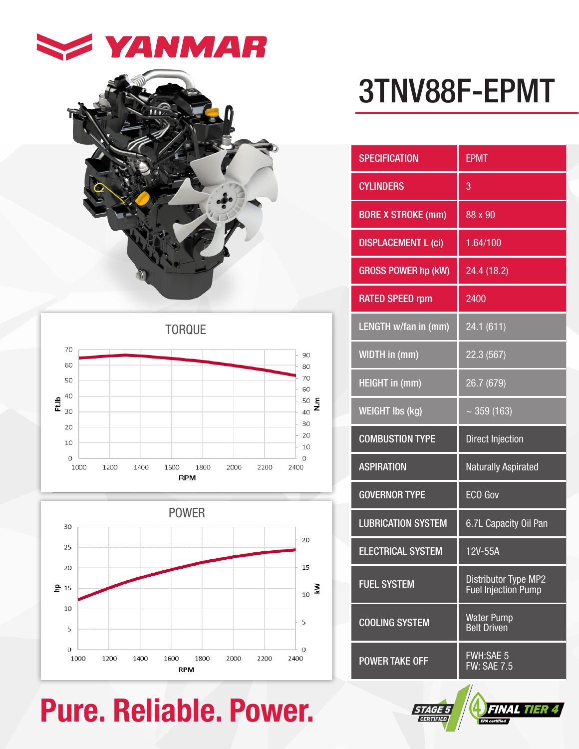



TORQUE





## Pure. Reliable. Power. **FINAL TIER 4201**

# 3TNV88F-EPMT

| <b>SPECIFICATION</b>       | <b>EPMT</b>                                 |
|----------------------------|---------------------------------------------|
| <b>CYLINDERS</b>           | 3                                           |
| <b>BORE X STROKE (mm)</b>  | 88 x 90                                     |
| <b>DISPLACEMENT L (ci)</b> | 1.64/100                                    |
| <b>GROSS POWER hp (kW)</b> | 24.4 (18.2)                                 |
| <b>RATED SPEED rpm</b>     | 2400                                        |
| LENGTH w/fan in (mm)       | 24.1 (611)                                  |
| WIDTH in (mm)              | 22.3 (567)                                  |
| <b>HEIGHT in (mm)</b>      | 26.7 (679)                                  |
| <b>WEIGHT Ibs (kg)</b>     | $\sim$ 359 (163)                            |
| <b>COMBUSTION TYPE</b>     | <b>Direct Injection</b>                     |
| <b>ASPIRATION</b>          | <b>Naturally Aspirated</b>                  |
| <b>GOVERNOR TYPE</b>       | <b>ECO Gov</b>                              |
| <b>LUBRICATION SYSTEM</b>  | 6.7L Capacity Oil Pan                       |
| <b>ELECTRICAL SYSTEM</b>   | 12V-55A                                     |
| <b>FUEL SYSTEM</b>         | Distributor Type MP2<br>Fuel Injection Pump |
| <b>COOLING SYSTEM</b>      | <b>Water Pump</b><br><b>Belt Driven</b>     |
| <b>POWER TAKE OFF</b>      | <b>FWH:SAE 5</b><br>FW:SAE 7.5              |